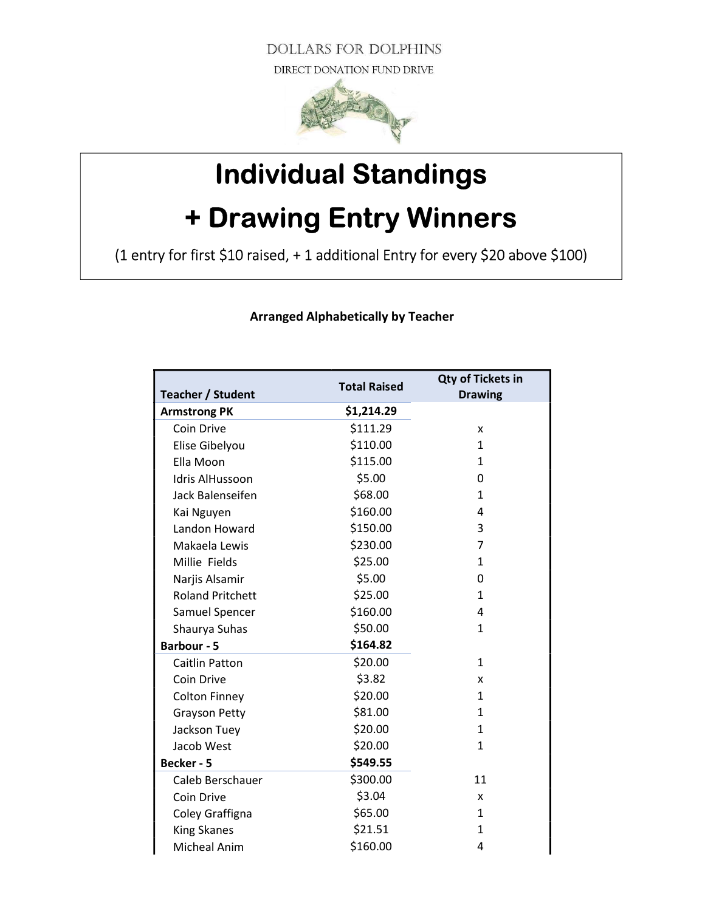**DOLLARS FOR DOLPHINS** DIRECT DONATION FUND DRIVE



## Individual Standings + Drawing Entry Winners

(1 entry for first \$10 raised, + 1 additional Entry for every \$20 above \$100)

Total Raised Capacher / Student Total Raised Capacher / Student Total Raised Capacher / Student Total Raised C Drawing Armstrong PK \$1,214.29  $Coin Drive$   $$111.29$  x Elise Gibelyou 5110.00 5110.00 Ella Moon \$115.00 1 Idris AlHussoon \$5.00 0 Jack Balenseifen 568.00 1 Kai Nguyen \$160.00 4 Landon Howard  $$150.00$  3 Makaela Lewis **\$230.00** 7 Millie Fields 525.00 1 Narjis Alsamir \$5.00 0 Roland Pritchett \$25.00 1 Samuel Spencer \$160.00 4 Shaurya Suhas  $$50.00$  1 Barbour - 5 \$164.82 Caitlin Patton 520.00 520.00 Coin Drive  $\frac{1}{2}$   $\frac{1}{2}$   $\frac{1}{2}$   $\frac{1}{2}$  x Colton Finney  $$20.00$  1 Grayson Petty \$81.00 \$81.00 Jackson Tuey \$20.00 1 Jacob West 620.00 520.00 1 Becker - 5 \$549.55 Caleb Berschauer  $\sim$  \$300.00 11  $Coin Drive$   $$3.04$  x Coley Graffigna  $$65.00$  1 King Skanes  $\frac{1}{221.51}$  1 Micheal Anim \$160.00 4

Arranged Alphabetically by Teacher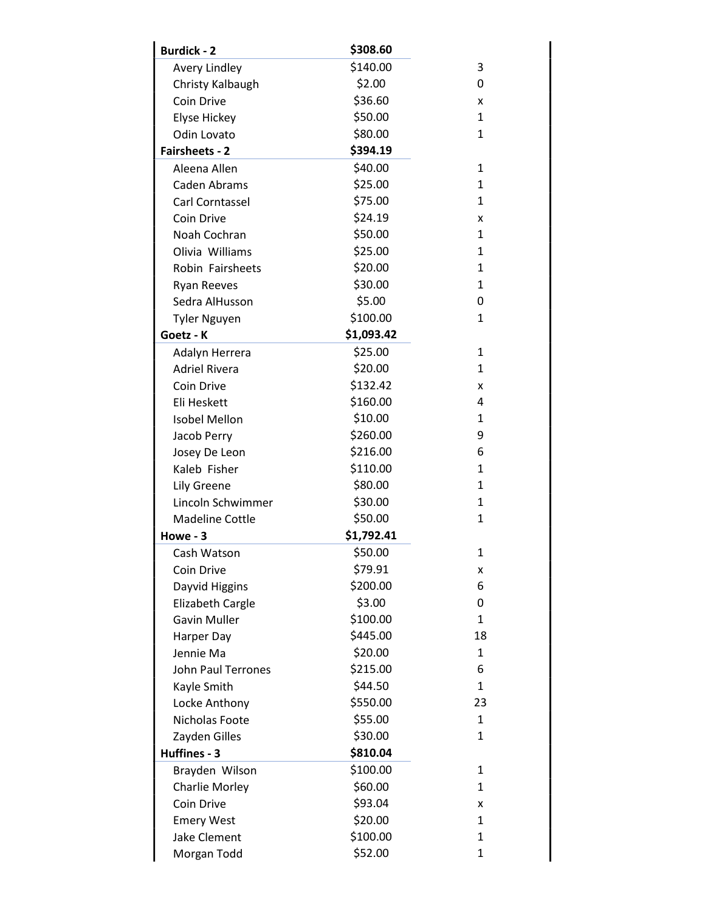| <b>Burdick - 2</b>      | \$308.60   |              |
|-------------------------|------------|--------------|
| <b>Avery Lindley</b>    | \$140.00   | 3            |
| Christy Kalbaugh        | \$2.00     | 0            |
| Coin Drive              | \$36.60    | x            |
| Elyse Hickey            | \$50.00    | 1            |
| Odin Lovato             | \$80.00    | 1            |
| <b>Fairsheets - 2</b>   | \$394.19   |              |
| Aleena Allen            | \$40.00    | $\mathbf{1}$ |
| Caden Abrams            | \$25.00    | 1            |
| Carl Corntassel         | \$75.00    | 1            |
| Coin Drive              | \$24.19    | x            |
| Noah Cochran            | \$50.00    | 1            |
| Olivia Williams         | \$25.00    | 1            |
| Robin Fairsheets        | \$20.00    | $\mathbf{1}$ |
| <b>Ryan Reeves</b>      | \$30.00    | 1            |
| Sedra AlHusson          | \$5.00     | 0            |
| <b>Tyler Nguyen</b>     | \$100.00   | $\mathbf{1}$ |
| Goetz - K               | \$1,093.42 |              |
| Adalyn Herrera          | \$25.00    | 1            |
| <b>Adriel Rivera</b>    | \$20.00    | 1            |
| Coin Drive              | \$132.42   | x            |
| Eli Heskett             | \$160.00   | 4            |
| <b>Isobel Mellon</b>    | \$10.00    | 1            |
| Jacob Perry             | \$260.00   | 9            |
| Josey De Leon           | \$216.00   | 6            |
| Kaleb Fisher            | \$110.00   | $\mathbf{1}$ |
| Lily Greene             | \$80.00    | 1            |
| Lincoln Schwimmer       | \$30.00    | 1            |
| <b>Madeline Cottle</b>  | \$50.00    | 1            |
| Howe - 3                | \$1,792.41 |              |
| Cash Watson             | \$50.00    | $\mathbf{1}$ |
| Coin Drive              | \$79.91    | x            |
| Dayvid Higgins          | \$200.00   | 6            |
| <b>Elizabeth Cargle</b> | \$3.00     | 0            |
| <b>Gavin Muller</b>     | \$100.00   | 1            |
| Harper Day              | \$445.00   | 18           |
| Jennie Ma               | \$20.00    | $\mathbf{1}$ |
| John Paul Terrones      | \$215.00   | 6            |
| Kayle Smith             | \$44.50    | 1            |
| Locke Anthony           | \$550.00   | 23           |
| Nicholas Foote          | \$55.00    | 1            |
| Zayden Gilles           | \$30.00    | 1            |
| Huffines - 3            | \$810.04   |              |
| Brayden Wilson          | \$100.00   | $\mathbf{1}$ |
| <b>Charlie Morley</b>   | \$60.00    | $\mathbf{1}$ |
| Coin Drive              | \$93.04    | x            |
| <b>Emery West</b>       | \$20.00    | $\mathbf{1}$ |
| <b>Jake Clement</b>     | \$100.00   | 1            |
| Morgan Todd             | \$52.00    | $\mathbf 1$  |
|                         |            |              |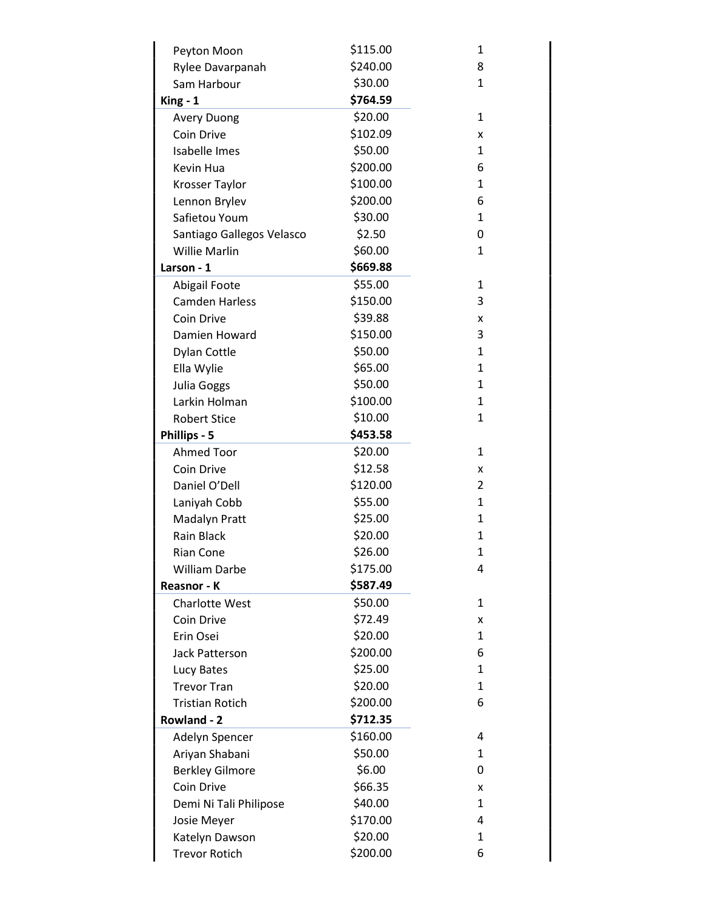| Peyton Moon               | \$115.00 | 1              |
|---------------------------|----------|----------------|
| Rylee Davarpanah          | \$240.00 | 8              |
| Sam Harbour               | \$30.00  | $\mathbf{1}$   |
| $King - 1$                | \$764.59 |                |
| <b>Avery Duong</b>        | \$20.00  | 1              |
| Coin Drive                | \$102.09 | x              |
| Isabelle Imes             | \$50.00  | 1              |
| Kevin Hua                 | \$200.00 | 6              |
| Krosser Taylor            | \$100.00 | 1              |
| Lennon Brylev             | \$200.00 | 6              |
| Safietou Youm             | \$30.00  | 1              |
| Santiago Gallegos Velasco | \$2.50   | 0              |
| <b>Willie Marlin</b>      | \$60.00  | 1              |
| Larson - 1                | \$669.88 |                |
| Abigail Foote             | \$55.00  | 1              |
| <b>Camden Harless</b>     | \$150.00 | 3              |
| Coin Drive                | \$39.88  | x              |
| Damien Howard             | \$150.00 | 3              |
| <b>Dylan Cottle</b>       | \$50.00  | 1              |
| Ella Wylie                | \$65.00  | 1              |
| <b>Julia Goggs</b>        | \$50.00  | 1              |
| Larkin Holman             | \$100.00 | $\mathbf{1}$   |
| <b>Robert Stice</b>       | \$10.00  | 1              |
| Phillips - 5              | \$453.58 |                |
| <b>Ahmed Toor</b>         | \$20.00  | 1              |
| Coin Drive                | \$12.58  | X              |
| Daniel O'Dell             | \$120.00 | $\overline{2}$ |
| Laniyah Cobb              | \$55.00  | 1              |
| Madalyn Pratt             | \$25.00  | 1              |
| <b>Rain Black</b>         | \$20.00  | 1              |
| <b>Rian Cone</b>          | \$26.00  | $\mathbf{1}$   |
| <b>William Darbe</b>      | \$175.00 | 4              |
| Reasnor - K               | \$587.49 |                |
| <b>Charlotte West</b>     | \$50.00  | 1              |
| Coin Drive                | \$72.49  | x              |
| Erin Osei                 | \$20.00  | 1              |
| <b>Jack Patterson</b>     | \$200.00 | 6              |
| Lucy Bates                | \$25.00  | 1              |
| <b>Trevor Tran</b>        | \$20.00  | 1              |
| <b>Tristian Rotich</b>    | \$200.00 | 6              |
| Rowland - 2               | \$712.35 |                |
| Adelyn Spencer            | \$160.00 | 4              |
| Ariyan Shabani            | \$50.00  | $\mathbf{1}$   |
| <b>Berkley Gilmore</b>    | \$6.00   | 0              |
| Coin Drive                | \$66.35  | x              |
| Demi Ni Tali Philipose    | \$40.00  | 1              |
| Josie Meyer               | \$170.00 | 4              |
| Katelyn Dawson            | \$20.00  | 1              |
| <b>Trevor Rotich</b>      | \$200.00 | 6              |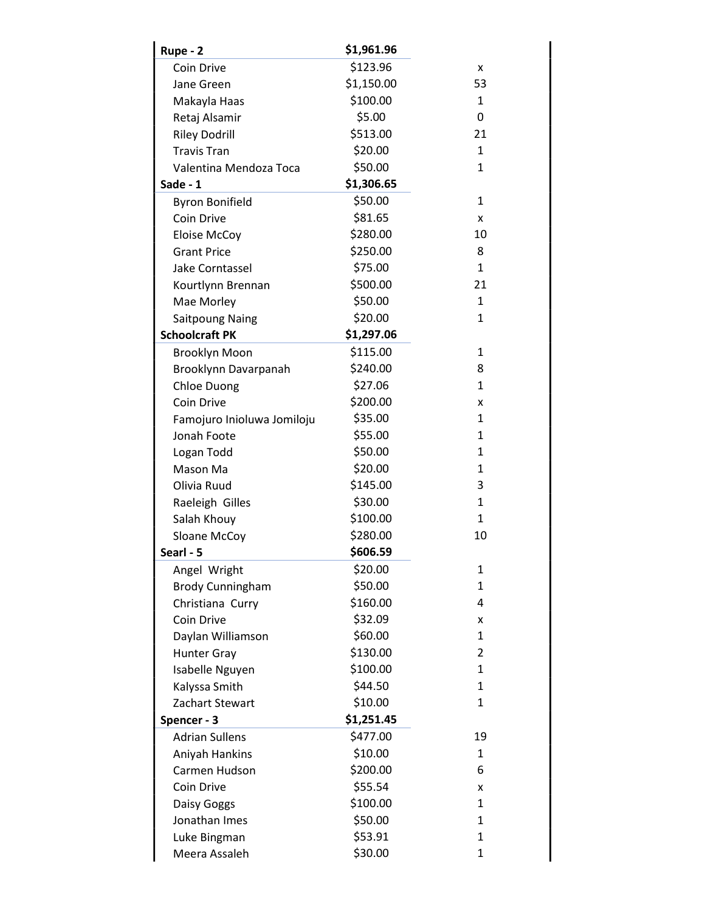| Rupe - 2                   | \$1,961.96 |              |
|----------------------------|------------|--------------|
| Coin Drive                 | \$123.96   | x            |
| Jane Green                 | \$1,150.00 | 53           |
| Makayla Haas               | \$100.00   | 1            |
| Retaj Alsamir              | \$5.00     | 0            |
| <b>Riley Dodrill</b>       | \$513.00   | 21           |
| <b>Travis Tran</b>         | \$20.00    | $\mathbf{1}$ |
| Valentina Mendoza Toca     | \$50.00    | $\mathbf{1}$ |
| Sade - 1                   | \$1,306.65 |              |
| <b>Byron Bonifield</b>     | \$50.00    | 1            |
| Coin Drive                 | \$81.65    | x            |
| <b>Eloise McCoy</b>        | \$280.00   | 10           |
| <b>Grant Price</b>         | \$250.00   | 8            |
| Jake Corntassel            | \$75.00    | $\mathbf{1}$ |
| Kourtlynn Brennan          | \$500.00   | 21           |
| Mae Morley                 | \$50.00    | $\mathbf{1}$ |
| <b>Saitpoung Naing</b>     | \$20.00    | $\mathbf{1}$ |
| <b>Schoolcraft PK</b>      | \$1,297.06 |              |
| Brooklyn Moon              | \$115.00   | 1            |
| Brooklynn Davarpanah       | \$240.00   | 8            |
| Chloe Duong                | \$27.06    | $\mathbf{1}$ |
| Coin Drive                 | \$200.00   | x            |
| Famojuro Inioluwa Jomiloju | \$35.00    | 1            |
| Jonah Foote                | \$55.00    | 1            |
| Logan Todd                 | \$50.00    | 1            |
| Mason Ma                   | \$20.00    | 1            |
| Olivia Ruud                | \$145.00   | 3            |
| Raeleigh Gilles            | \$30.00    | $\mathbf{1}$ |
| Salah Khouy                | \$100.00   | 1            |
| Sloane McCoy               | \$280.00   | 10           |
| Searl - 5                  | \$606.59   |              |
| Angel Wright               | \$20.00    | 1            |
| <b>Brody Cunningham</b>    | \$50.00    | 1            |
| Christiana Curry           | \$160.00   | 4            |
| Coin Drive                 | \$32.09    | x            |
| Daylan Williamson          | \$60.00    | $\mathbf{1}$ |
| <b>Hunter Gray</b>         | \$130.00   | 2            |
| Isabelle Nguyen            | \$100.00   | 1            |
| Kalyssa Smith              | \$44.50    | $\mathbf{1}$ |
| Zachart Stewart            | \$10.00    | 1            |
| Spencer - 3                | \$1,251.45 |              |
| <b>Adrian Sullens</b>      | \$477.00   | 19           |
| Aniyah Hankins             | \$10.00    | $\mathbf{1}$ |
| Carmen Hudson              | \$200.00   | 6            |
| Coin Drive                 | \$55.54    | x            |
| Daisy Goggs                | \$100.00   | 1            |
| Jonathan Imes              | \$50.00    | $\mathbf{1}$ |
| Luke Bingman               | \$53.91    | $\mathbf{1}$ |
| Meera Assaleh              | \$30.00    | 1            |